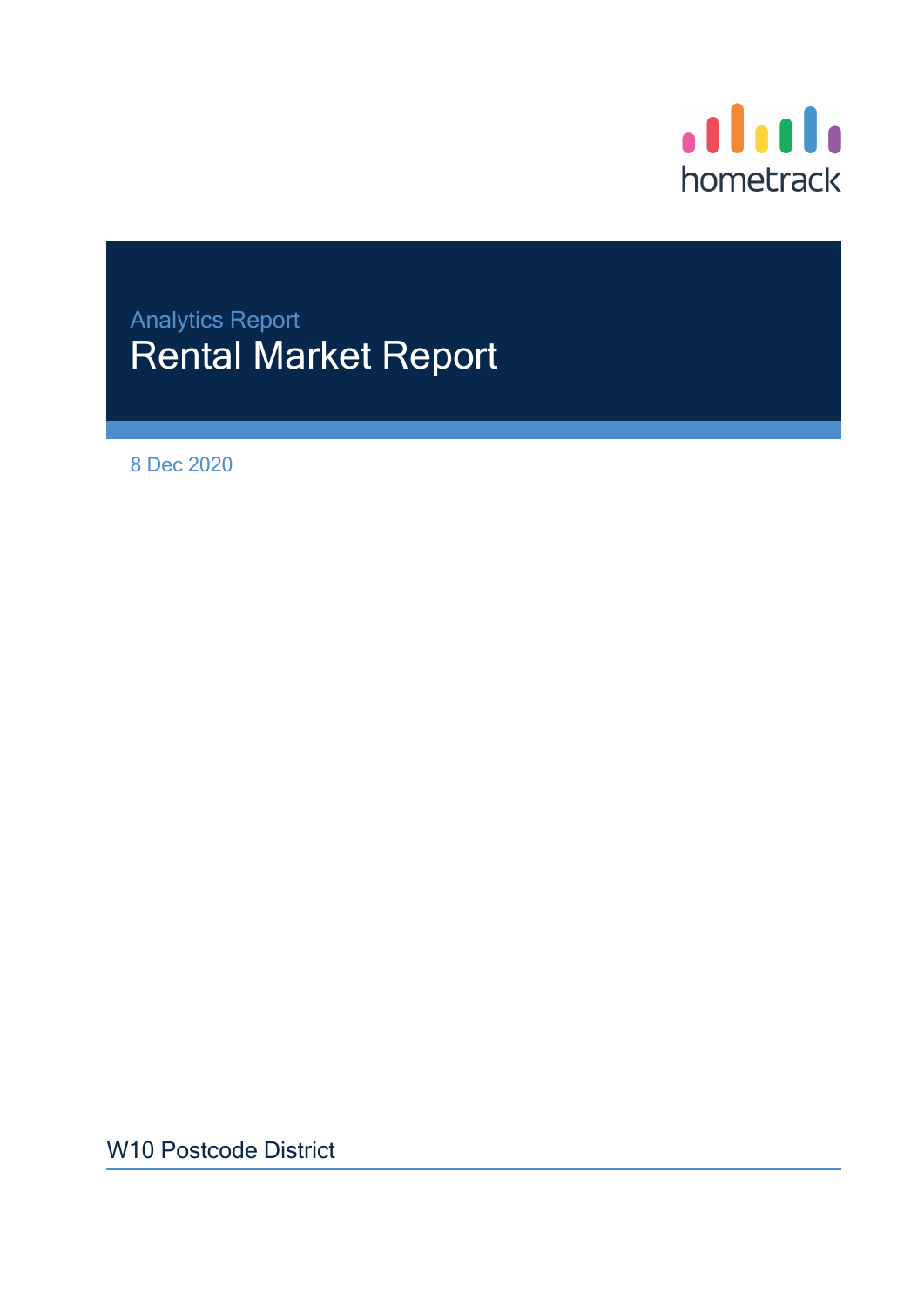

# Analytics Report Rental Market Report

8 Dec 2020

W10 Postcode District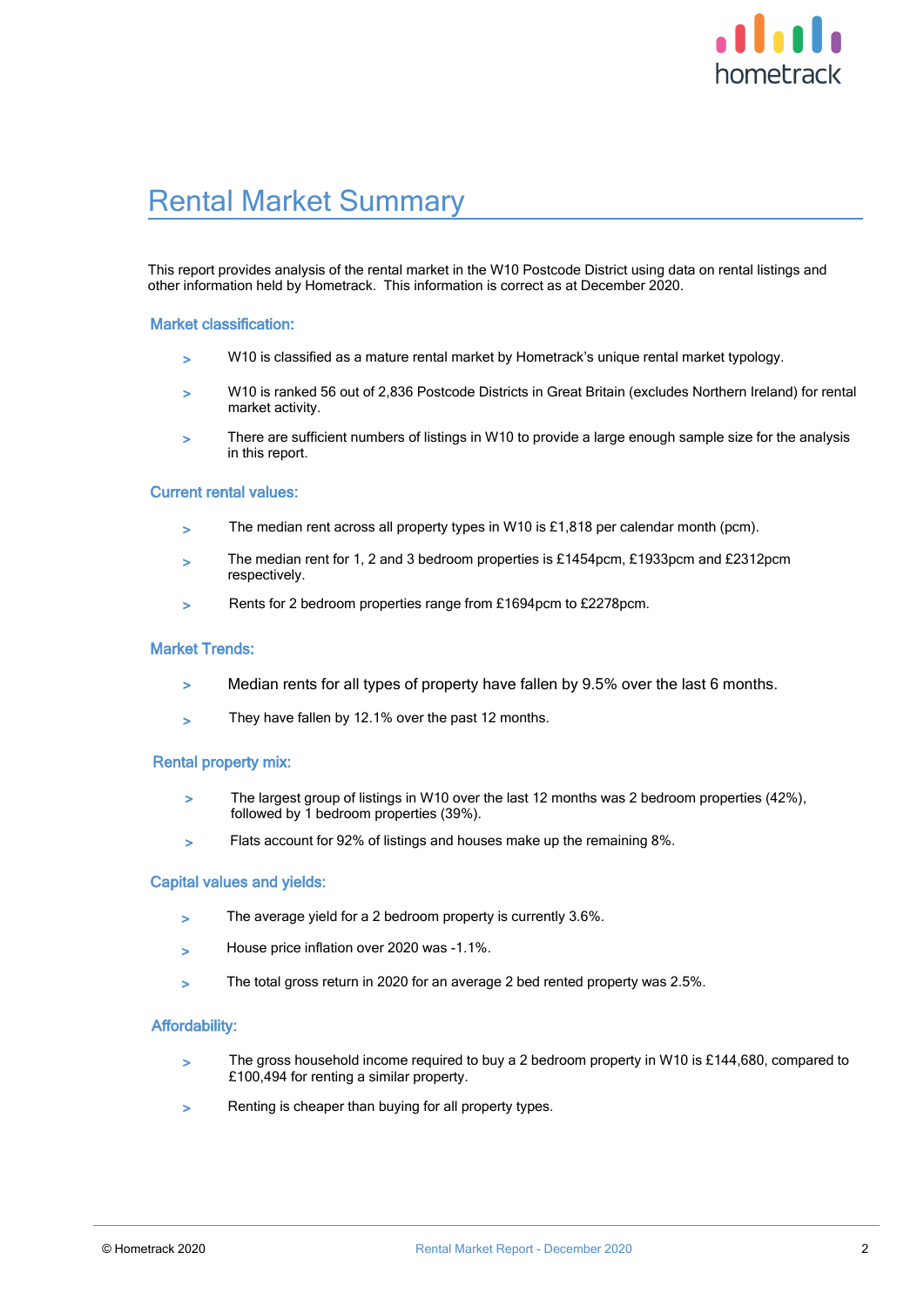

### Rental Market Summary

This report provides analysis of the rental market in the W10 Postcode District using data on rental listings and other information held by Hometrack. This information is correct as at December 2020.

#### Market classification:

- > W10 is classified as a mature rental market by Hometrack's unique rental market typology.
- > W10 is ranked 56 out of 2,836 Postcode Districts in Great Britain (excludes Northern Ireland) for rental market activity.
- > There are sufficient numbers of listings in W10 to provide a large enough sample size for the analysis in this report.

#### Current rental values:

- $>$  The median rent across all property types in W10 is £1,818 per calendar month (pcm).
- > The median rent for 1, 2 and 3 bedroom properties is £1454pcm, £1933pcm and £2312pcm respectively.
- > Rents for 2 bedroom properties range from £1694pcm to £2278pcm.

#### Market Trends:

- > Median rents for all types of property have fallen by 9.5% over the last 6 months.
- They have fallen by 12.1% over the past 12 months.

#### Rental property mix:

- > The largest group of listings in W10 over the last 12 months was 2 bedroom properties (42%), followed by 1 bedroom properties (39%).
- > Flats account for 92% of listings and houses make up the remaining 8%.

#### Capital values and yields:

- > The average yield for a 2 bedroom property is currently 3.6%.
- > House price inflation over 2020 was -1.1%.
- > The total gross return in 2020 for an average 2 bed rented property was 2.5%.

#### Affordability:

- > The gross household income required to buy a 2 bedroom property in W10 is £144,680, compared to £100,494 for renting a similar property.
- > Renting is cheaper than buying for all property types.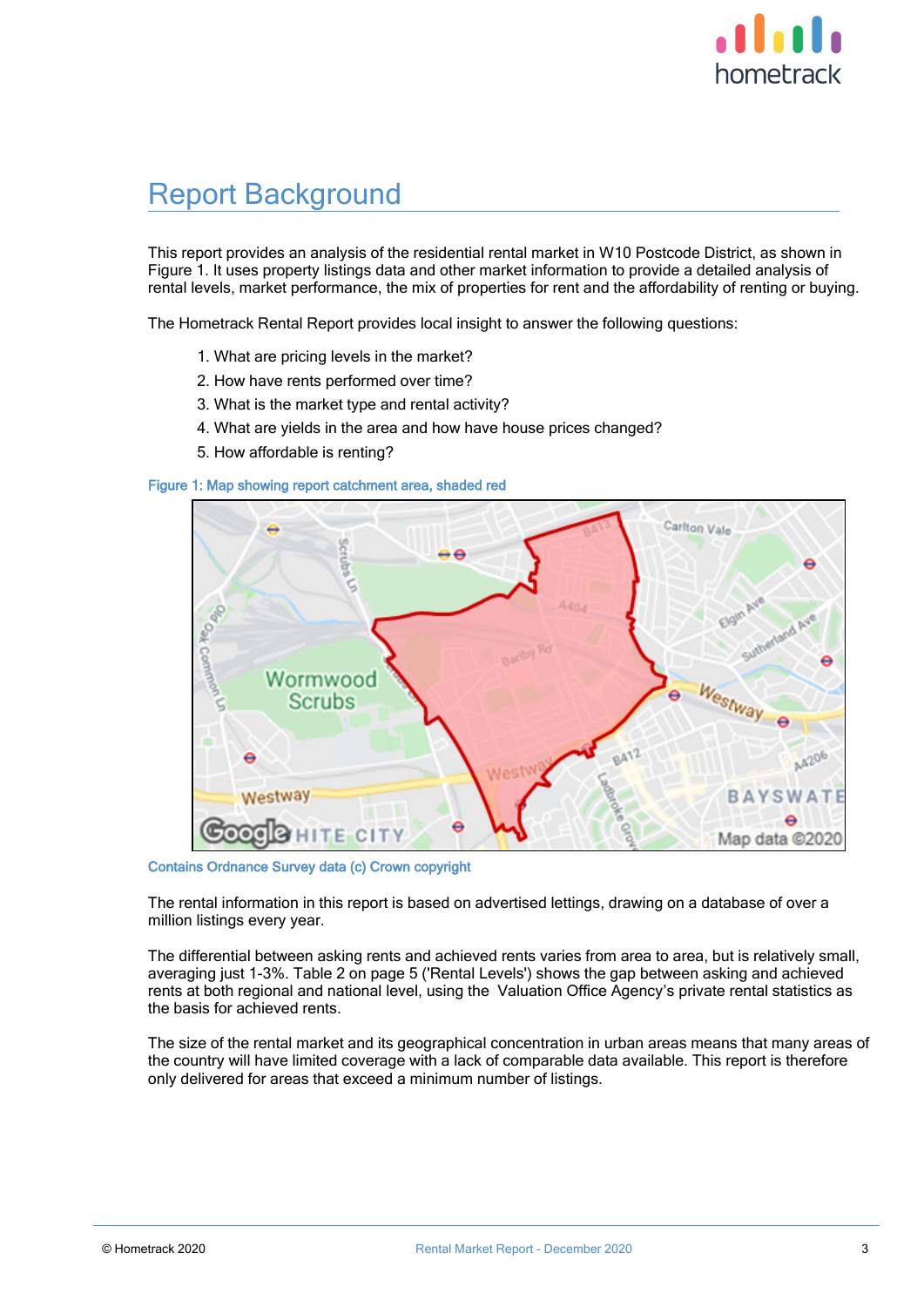

### Report Background

This report provides an analysis of the residential rental market in W10 Postcode District, as shown in Figure 1. It uses property listings data and other market information to provide a detailed analysis of rental levels, market performance, the mix of properties for rent and the affordability of renting or buying.

The Hometrack Rental Report provides local insight to answer the following questions:

- 1. What are pricing levels in the market?
- 2. How have rents performed over time?
- 3. What is the market type and rental activity?
- 4. What are yields in the area and how have house prices changed?
- 5. How affordable is renting?



Figure 1: Map showing report catchment area, shaded red

Contains Ordnance Survey data (c) Crown copyright

The rental information in this report is based on advertised lettings, drawing on a database of over a million listings every year.

The differential between asking rents and achieved rents varies from area to area, but is relatively small, averaging just 1-3%. Table 2 on page 5 ('Rental Levels') shows the gap between asking and achieved rents at both regional and national level, using the Valuation Office Agency's private rental statistics as the basis for achieved rents.

The size of the rental market and its geographical concentration in urban areas means that many areas of the country will have limited coverage with a lack of comparable data available. This report is therefore only delivered for areas that exceed a minimum number of listings.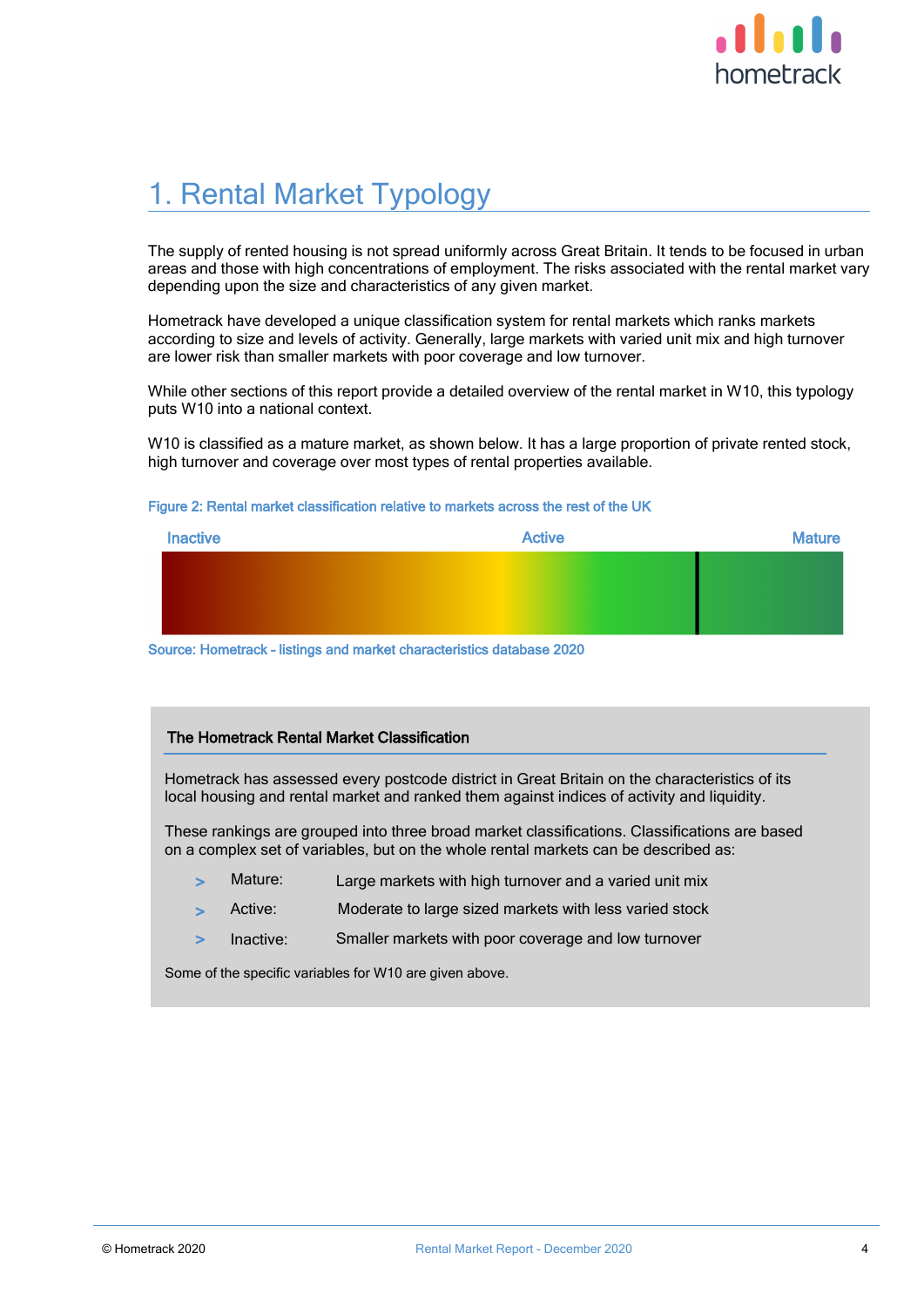

# 1. Rental Market Typology

The supply of rented housing is not spread uniformly across Great Britain. It tends to be focused in urban areas and those with high concentrations of employment. The risks associated with the rental market vary depending upon the size and characteristics of any given market.

Hometrack have developed a unique classification system for rental markets which ranks markets according to size and levels of activity. Generally, large markets with varied unit mix and high turnover are lower risk than smaller markets with poor coverage and low turnover.

While other sections of this report provide a detailed overview of the rental market in W10, this typology puts W10 into a national context.

W10 is classified as a mature market, as shown below. It has a large proportion of private rented stock, high turnover and coverage over most types of rental properties available.

#### Figure 2: Rental market classification relative to markets across the rest of the UK

| <b>Inactive</b> | <b>Active</b> | <b>Mature</b> |
|-----------------|---------------|---------------|
|                 |               |               |
|                 |               |               |
|                 |               |               |

Source: Hometrack – listings and market characteristics database 2020

#### The Hometrack Rental Market Classification

Hometrack has assessed every postcode district in Great Britain on the characteristics of its local housing and rental market and ranked them against indices of activity and liquidity.

These rankings are grouped into three broad market classifications. Classifications are based on a complex set of variables, but on the whole rental markets can be described as:

- Large markets with high turnover and a varied unit mix Mature:
- Moderate to large sized markets with less varied stock Active:
- > Inactive: Smaller markets with poor coverage and low turnover

Some of the specific variables for W10 are given above.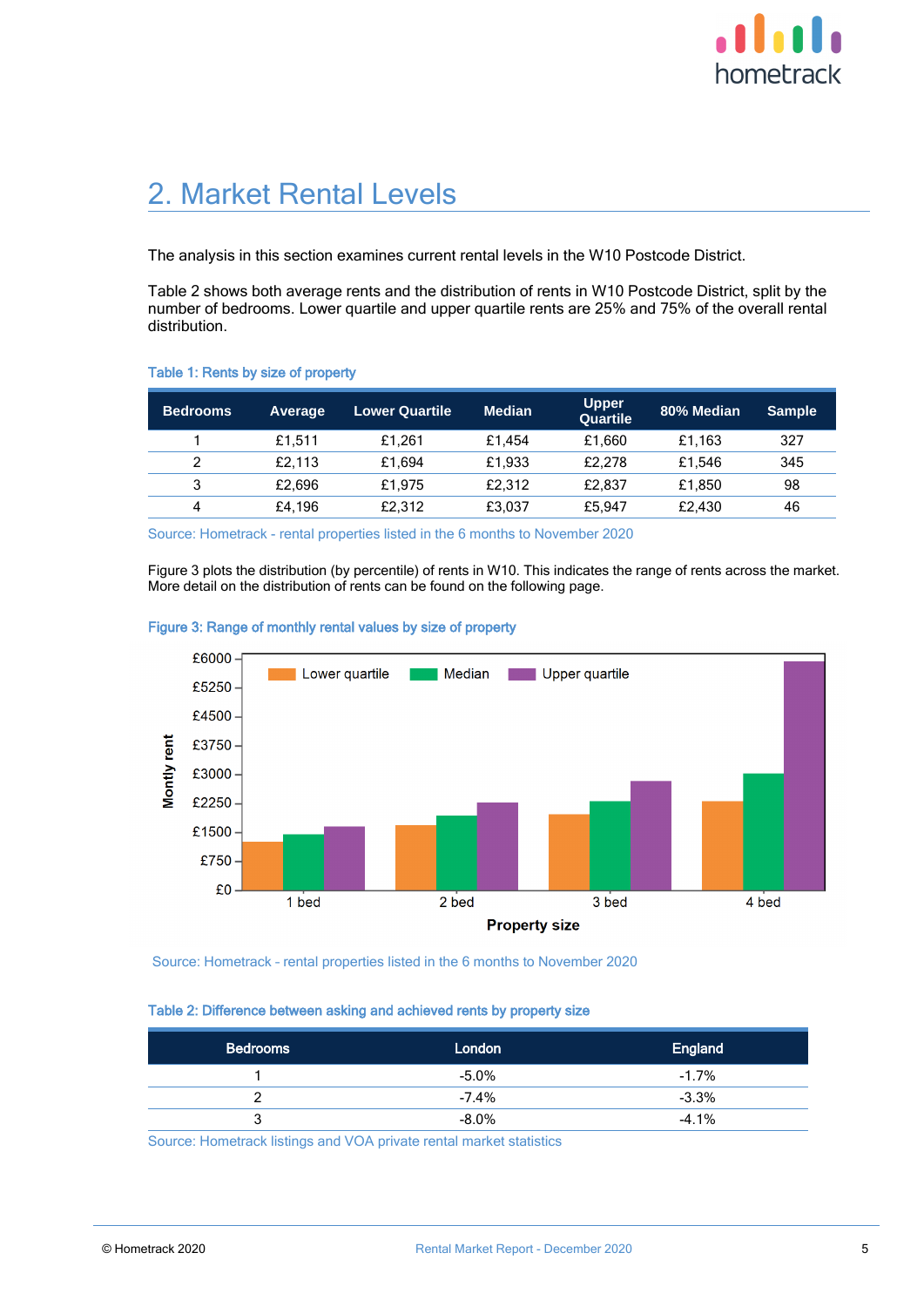

## 2. Market Rental Levels

The analysis in this section examines current rental levels in the W10 Postcode District.

Table 2 shows both average rents and the distribution of rents in W10 Postcode District, split by the number of bedrooms. Lower quartile and upper quartile rents are 25% and 75% of the overall rental distribution.

#### Table 1: Rents by size of property

| 'Bedrooms | <b>Average</b> | <b>Lower Quartile</b> | <b>Median</b> | Upper<br><b>Quartile</b> | 80% Median | <b>Sample</b> |
|-----------|----------------|-----------------------|---------------|--------------------------|------------|---------------|
|           | £1.511         | £1.261                | £1.454        | £1.660                   | £1.163     | 327           |
| っ         | £2.113         | £1.694                | £1.933        | £2.278                   | £1.546     | 345           |
| 3         | £2.696         | £1.975                | £2.312        | £2.837                   | £1.850     | 98            |
| 4         | £4.196         | £2.312                | £3,037        | £5.947                   | £2.430     | 46            |

Source: Hometrack - rental properties listed in the 6 months to November 2020

Figure 3 plots the distribution (by percentile) of rents in W10. This indicates the range of rents across the market. More detail on the distribution of rents can be found on the following page.



#### Figure 3: Range of monthly rental values by size of property

Source: Hometrack – rental properties listed in the 6 months to November 2020

#### Table 2: Difference between asking and achieved rents by property size

| <b>Bedrooms</b> | London   | <b>England</b> |
|-----------------|----------|----------------|
|                 | $-5.0\%$ | $-1.7%$        |
|                 | $-7.4\%$ | $-3.3%$        |
| 3               | $-8.0\%$ | $-4.1%$        |

Source: Hometrack listings and VOA private rental market statistics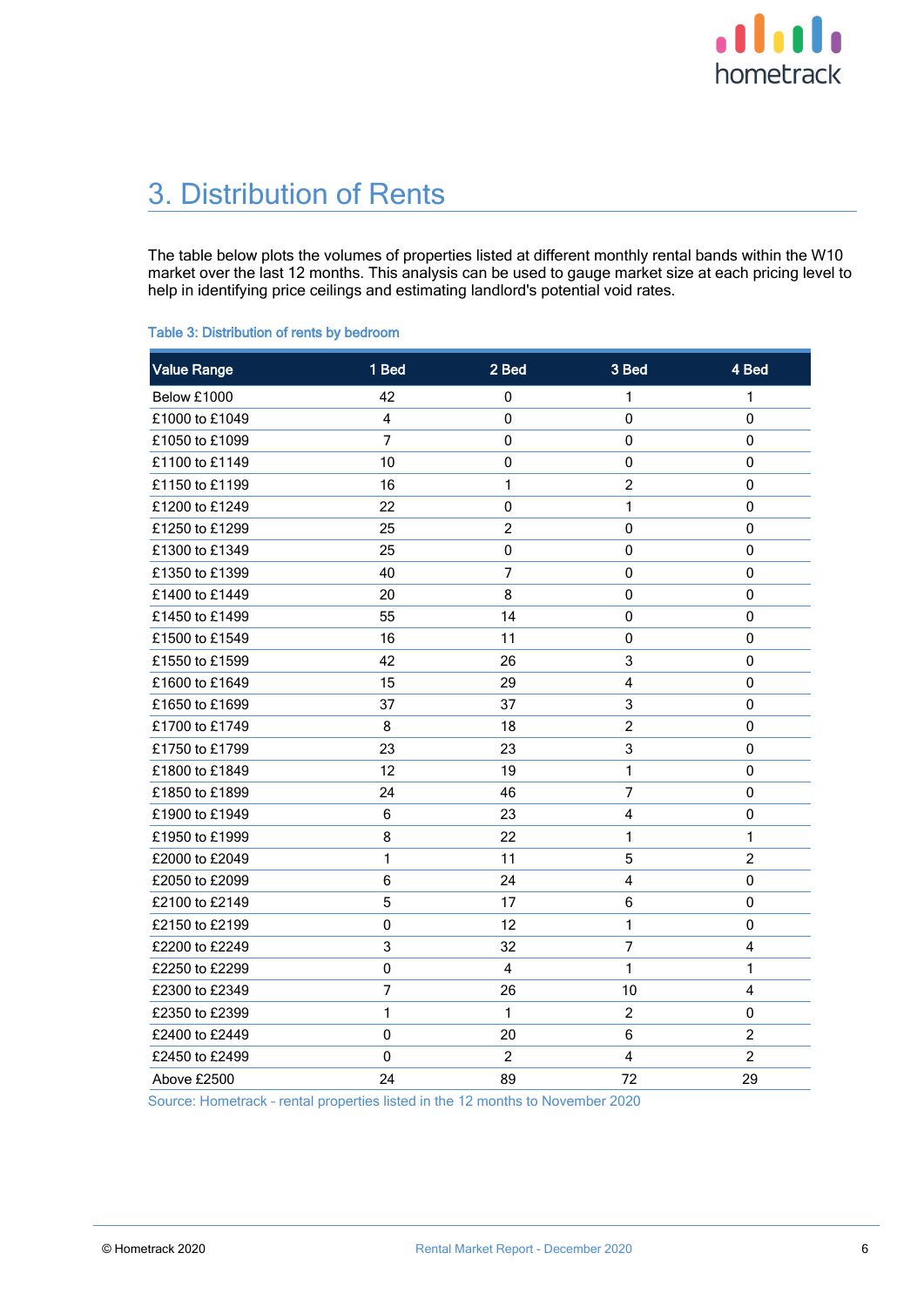

# 3. Distribution of Rents

The table below plots the volumes of properties listed at different monthly rental bands within the W10 market over the last 12 months. This analysis can be used to gauge market size at each pricing level to help in identifying price ceilings and estimating landlord's potential void rates.

| <b>Value Range</b> | 1 Bed          | 2 Bed            | 3 Bed          | 4 Bed                   |
|--------------------|----------------|------------------|----------------|-------------------------|
| Below £1000        | 42             | 0                | 1              | 1                       |
| £1000 to £1049     | $\overline{4}$ | $\pmb{0}$        | 0              | 0                       |
| £1050 to £1099     | 7              | 0                | 0              | 0                       |
| £1100 to £1149     | 10             | 0                | 0              | $\pmb{0}$               |
| £1150 to £1199     | 16             | 1                | $\overline{c}$ | $\mathbf 0$             |
| £1200 to £1249     | 22             | $\pmb{0}$        | $\mathbf{1}$   | $\pmb{0}$               |
| £1250 to £1299     | 25             | $\boldsymbol{2}$ | 0              | 0                       |
| £1300 to £1349     | 25             | 0                | 0              | 0                       |
| £1350 to £1399     | 40             | $\overline{7}$   | 0              | $\mathbf 0$             |
| £1400 to £1449     | 20             | 8                | 0              | 0                       |
| £1450 to £1499     | 55             | 14               | $\pmb{0}$      | $\pmb{0}$               |
| £1500 to £1549     | 16             | 11               | 0              | 0                       |
| £1550 to £1599     | 42             | 26               | 3              | 0                       |
| £1600 to £1649     | 15             | 29               | 4              | 0                       |
| £1650 to £1699     | 37             | 37               | 3              | 0                       |
| £1700 to £1749     | 8              | 18               | $\overline{2}$ | 0                       |
| £1750 to £1799     | 23             | 23               | 3              | $\pmb{0}$               |
| £1800 to £1849     | 12             | 19               | $\mathbf{1}$   | 0                       |
| £1850 to £1899     | 24             | 46               | 7              | 0                       |
| £1900 to £1949     | 6              | 23               | 4              | $\pmb{0}$               |
| £1950 to £1999     | 8              | 22               | 1              | 1                       |
| £2000 to £2049     | 1              | 11               | 5              | $\overline{c}$          |
| £2050 to £2099     | 6              | 24               | 4              | 0                       |
| £2100 to £2149     | 5              | 17               | 6              | $\pmb{0}$               |
| £2150 to £2199     | 0              | 12               | 1              | 0                       |
| £2200 to £2249     | 3              | 32               | $\overline{7}$ | 4                       |
| £2250 to £2299     | 0              | 4                | 1              | 1                       |
| £2300 to £2349     | 7              | 26               | 10             | $\overline{\mathbf{4}}$ |
| £2350 to £2399     | 1              | $\mathbf{1}$     | $\overline{c}$ | 0                       |
| £2400 to £2449     | 0              | 20               | 6              | $\overline{c}$          |
| £2450 to £2499     | 0              | $\overline{c}$   | 4              | $\overline{2}$          |
| Above £2500        | 24             | 89               | 72             | 29                      |
|                    |                |                  |                |                         |

Source: Hometrack – rental properties listed in the 12 months to November 2020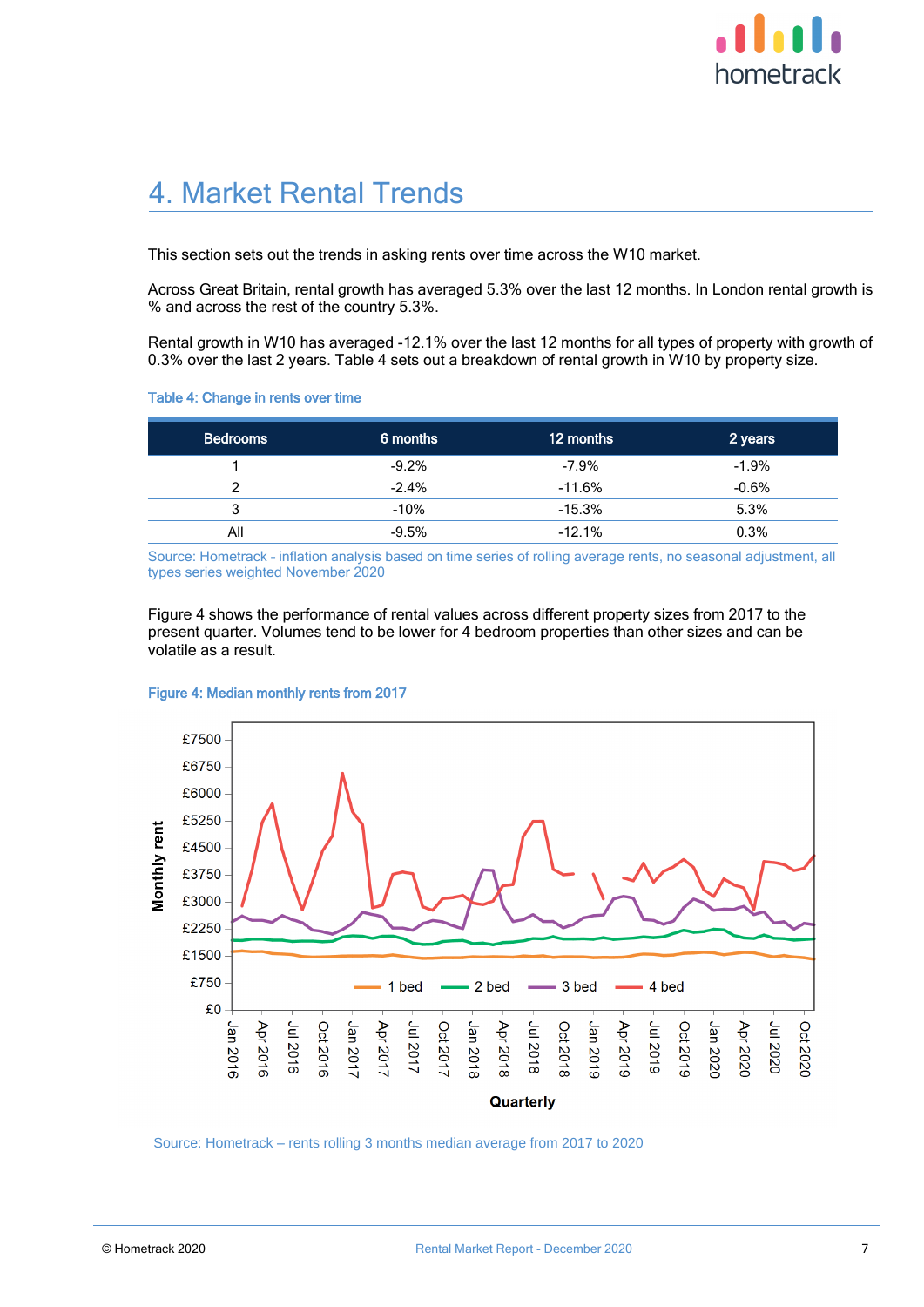

### 4. Market Rental Trends

This section sets out the trends in asking rents over time across the W10 market.

Across Great Britain, rental growth has averaged 5.3% over the last 12 months. In London rental growth is % and across the rest of the country 5.3%.

Rental growth in W10 has averaged -12.1% over the last 12 months for all types of property with growth of 0.3% over the last 2 years. Table 4 sets out a breakdown of rental growth in W10 by property size.

#### Table 4: Change in rents over time

| <b>Bedrooms</b> | 6 months | 12 months | 2 years  |
|-----------------|----------|-----------|----------|
|                 | $-9.2%$  | $-7.9%$   | $-1.9\%$ |
|                 | $-2.4%$  | $-11.6%$  | $-0.6\%$ |
| 3               | $-10%$   | $-15.3%$  | 5.3%     |
| All             | $-9.5%$  | $-12.1%$  | 0.3%     |

Source: Hometrack – inflation analysis based on time series of rolling average rents, no seasonal adjustment, all types series weighted November 2020

Figure 4 shows the performance of rental values across different property sizes from 2017 to the present quarter. Volumes tend to be lower for 4 bedroom properties than other sizes and can be volatile as a result.



#### Figure 4: Median monthly rents from 2017

Source: Hometrack – rents rolling 3 months median average from 2017 to 2020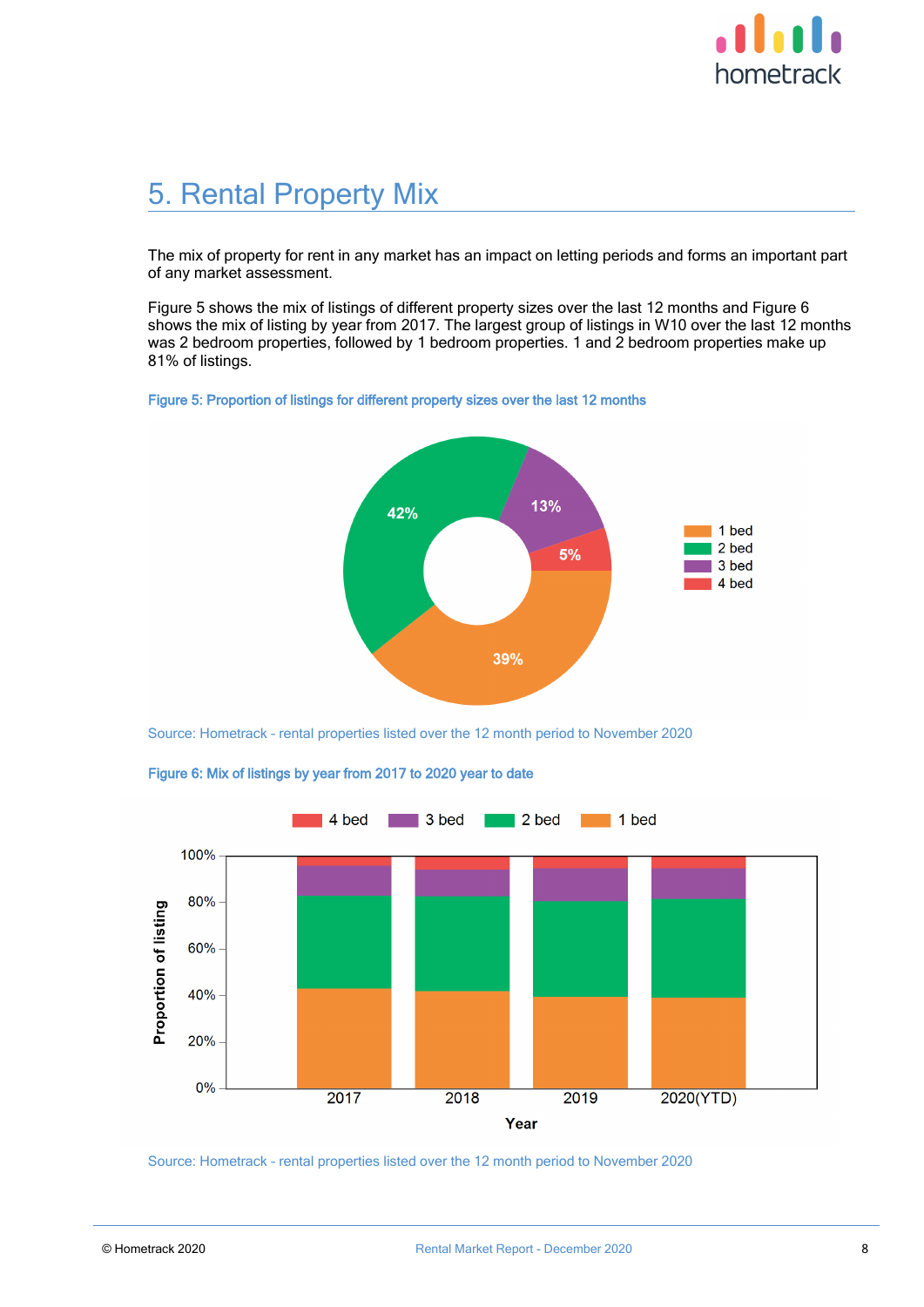

## 5. Rental Property Mix

The mix of property for rent in any market has an impact on letting periods and forms an important part of any market assessment.

Figure 5 shows the mix of listings of different property sizes over the last 12 months and Figure 6 shows the mix of listing by year from 2017. The largest group of listings in W10 over the last 12 months was 2 bedroom properties, followed by 1 bedroom properties. 1 and 2 bedroom properties make up 81% of listings.





Source: Hometrack – rental properties listed over the 12 month period to November 2020



Figure 6: Mix of listings by year from 2017 to 2020 year to date

Source: Hometrack – rental properties listed over the 12 month period to November 2020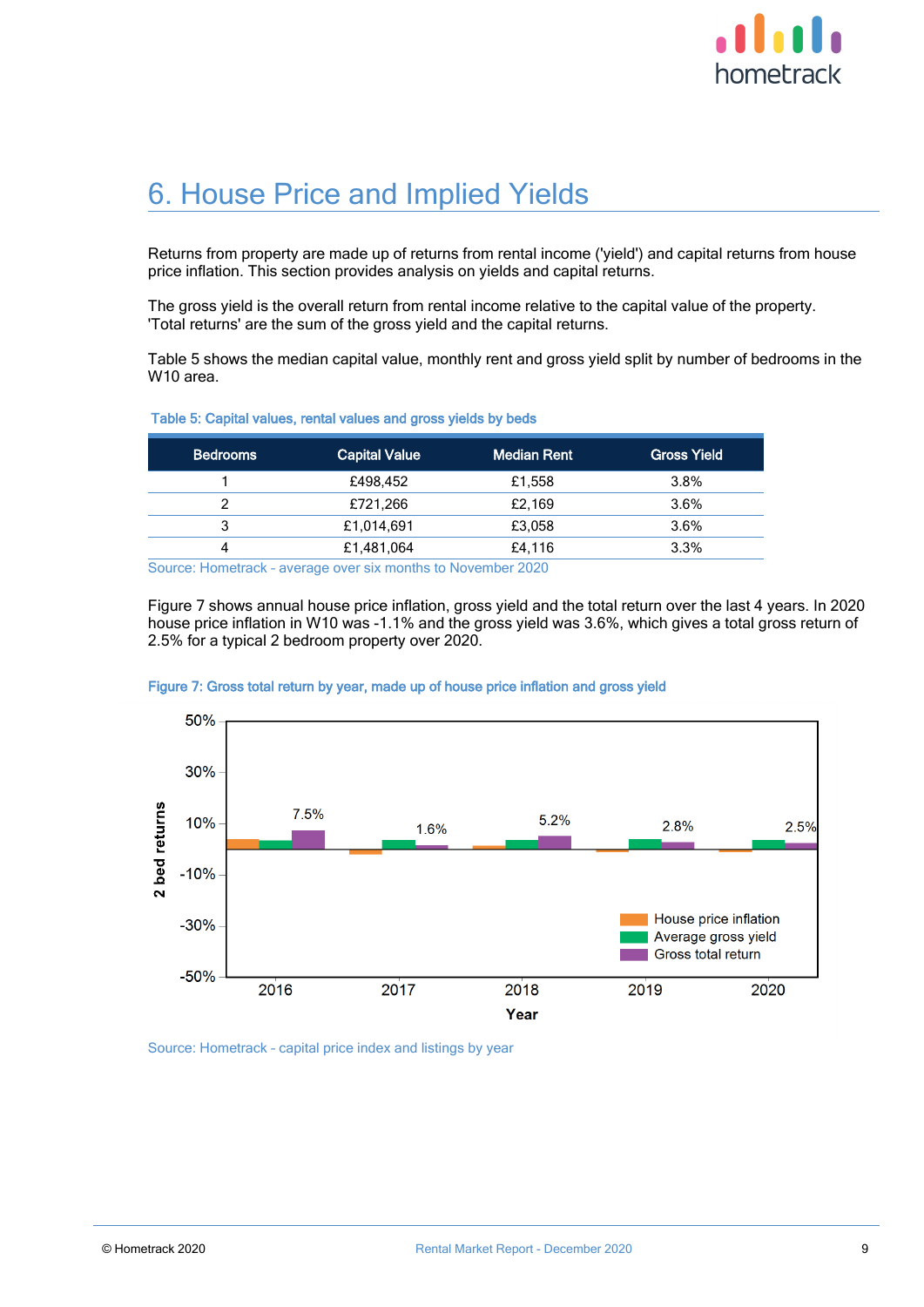

## 6. House Price and Implied Yields

Returns from property are made up of returns from rental income ('yield') and capital returns from house price inflation. This section provides analysis on yields and capital returns.

The gross yield is the overall return from rental income relative to the capital value of the property. 'Total returns' are the sum of the gross yield and the capital returns.

Table 5 shows the median capital value, monthly rent and gross yield split by number of bedrooms in the W10 area.

#### Table 5: Capital values, rental values and gross yields by beds

| <b>Bedrooms</b> | <b>Capital Value</b> | <b>Median Rent</b> | <b>Gross Yield</b> |
|-----------------|----------------------|--------------------|--------------------|
|                 | £498,452             | £1,558             | 3.8%               |
|                 | £721,266             | £2,169             | 3.6%               |
| 3               | £1,014,691           | £3,058             | 3.6%               |
|                 | £1,481,064           | £4,116             | 3.3%               |

Source: Hometrack – average over six months to November 2020

Figure 7 shows annual house price inflation, gross yield and the total return over the last 4 years. In 2020 house price inflation in W10 was -1.1% and the gross yield was 3.6%, which gives a total gross return of 2.5% for a typical 2 bedroom property over 2020.



#### Figure 7: Gross total return by year, made up of house price inflation and gross yield

Source: Hometrack – capital price index and listings by year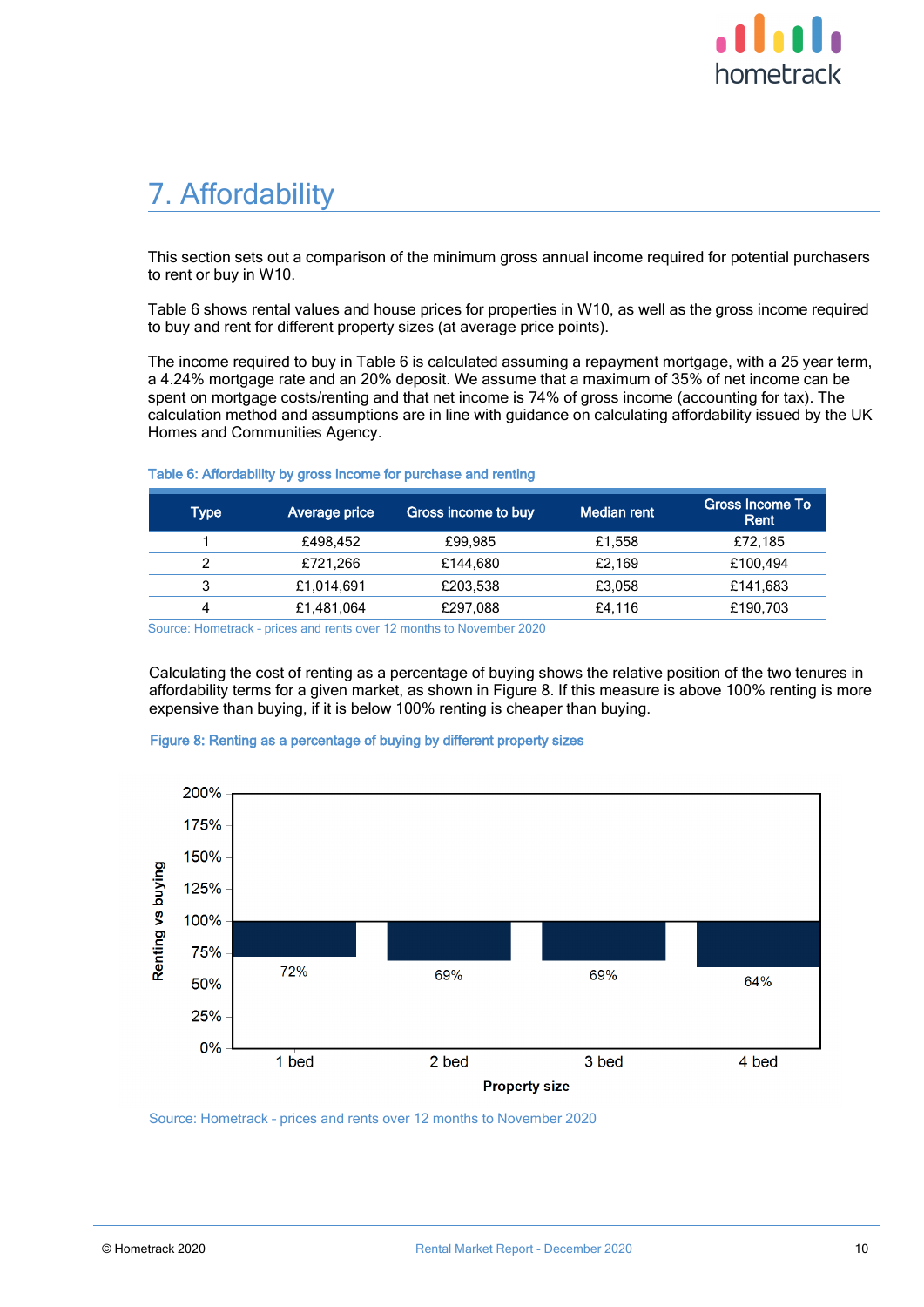

## 7. Affordability

This section sets out a comparison of the minimum gross annual income required for potential purchasers to rent or buy in W10.

Table 6 shows rental values and house prices for properties in W10, as well as the gross income required to buy and rent for different property sizes (at average price points).

The income required to buy in Table 6 is calculated assuming a repayment mortgage, with a 25 year term, a 4.24% mortgage rate and an 20% deposit. We assume that a maximum of 35% of net income can be spent on mortgage costs/renting and that net income is 74% of gross income (accounting for tax). The calculation method and assumptions are in line with guidance on calculating affordability issued by the UK Homes and Communities Agency.

| Average price | Gross income to buy | <b>Median rent</b> | <b>Gross Income To</b><br>Rent |
|---------------|---------------------|--------------------|--------------------------------|
| £498.452      | £99.985             | £1,558             | £72,185                        |
| £721,266      | £144.680            | £2.169             | £100.494                       |
| £1,014,691    | £203,538            | £3,058             | £141,683                       |
| £1,481,064    | £297,088            | £4.116             | £190,703                       |
|               |                     |                    |                                |

#### Table 6: Affordability by gross income for purchase and renting

Source: Hometrack – prices and rents over 12 months to November 2020

Calculating the cost of renting as a percentage of buying shows the relative position of the two tenures in affordability terms for a given market, as shown in Figure 8. If this measure is above 100% renting is more expensive than buying, if it is below 100% renting is cheaper than buying.



#### Figure 8: Renting as a percentage of buying by different property sizes

Source: Hometrack – prices and rents over 12 months to November 2020